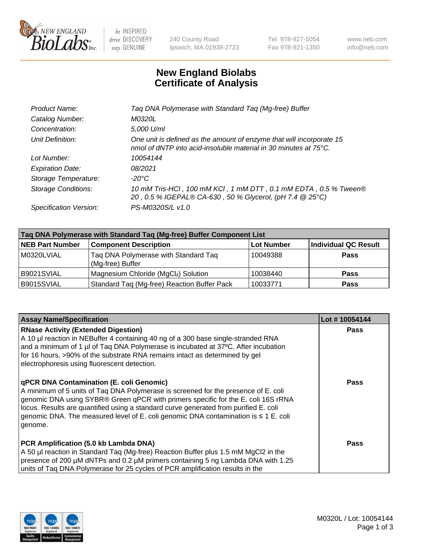

be INSPIRED drive DISCOVERY stay GENUINE

240 County Road Ipswich, MA 01938-2723 Tel 978-927-5054 Fax 978-921-1350 www.neb.com info@neb.com

## **New England Biolabs Certificate of Analysis**

| Taq DNA Polymerase with Standard Taq (Mg-free) Buffer                                                                                              |
|----------------------------------------------------------------------------------------------------------------------------------------------------|
| M0320L                                                                                                                                             |
| 5,000 U/ml                                                                                                                                         |
| One unit is defined as the amount of enzyme that will incorporate 15<br>nmol of dNTP into acid-insoluble material in 30 minutes at $75^{\circ}$ C. |
| 10054144                                                                                                                                           |
| 08/2021                                                                                                                                            |
| $-20^{\circ}$ C                                                                                                                                    |
| 10 mM Tris-HCl, 100 mM KCl, 1 mM DTT, 0.1 mM EDTA, 0.5 % Tween®<br>20, 0.5 % IGEPAL® CA-630, 50 % Glycerol, (pH 7.4 @ 25°C)                        |
| PS-M0320S/L v1.0                                                                                                                                   |
|                                                                                                                                                    |

| Tag DNA Polymerase with Standard Tag (Mg-free) Buffer Component List |                                                          |                   |                             |  |  |
|----------------------------------------------------------------------|----------------------------------------------------------|-------------------|-----------------------------|--|--|
| <b>NEB Part Number</b>                                               | <b>Component Description</b>                             | <b>Lot Number</b> | <b>Individual QC Result</b> |  |  |
| M0320LVIAL                                                           | Tag DNA Polymerase with Standard Tag<br>(Mg-free) Buffer | 10049388          | Pass                        |  |  |
| B9021SVIAL                                                           | Magnesium Chloride (MgCl2) Solution                      | 10038440          | <b>Pass</b>                 |  |  |
| B9015SVIAL                                                           | Standard Taq (Mg-free) Reaction Buffer Pack              | 10033771          | <b>Pass</b>                 |  |  |

| <b>Assay Name/Specification</b>                                                                                                                                                                                                                                                                                                                                                                                           | Lot #10054144 |
|---------------------------------------------------------------------------------------------------------------------------------------------------------------------------------------------------------------------------------------------------------------------------------------------------------------------------------------------------------------------------------------------------------------------------|---------------|
| <b>RNase Activity (Extended Digestion)</b><br>A 10 µl reaction in NEBuffer 4 containing 40 ng of a 300 base single-stranded RNA<br>and a minimum of 1 µl of Taq DNA Polymerase is incubated at 37°C. After incubation<br>for 16 hours, >90% of the substrate RNA remains intact as determined by gel<br>electrophoresis using fluorescent detection.                                                                      | <b>Pass</b>   |
| <b>qPCR DNA Contamination (E. coli Genomic)</b><br>A minimum of 5 units of Taq DNA Polymerase is screened for the presence of E. coli<br>genomic DNA using SYBR® Green qPCR with primers specific for the E. coli 16S rRNA<br>locus. Results are quantified using a standard curve generated from purified E. coli<br>genomic DNA. The measured level of E. coli genomic DNA contamination is $\leq 1$ E. coli<br>genome. | Pass          |
| PCR Amplification (5.0 kb Lambda DNA)<br>A 50 µl reaction in Standard Tag (Mg-free) Reaction Buffer plus 1.5 mM MgCl2 in the<br>presence of 200 µM dNTPs and 0.2 µM primers containing 5 ng Lambda DNA with 1.25<br>units of Taq DNA Polymerase for 25 cycles of PCR amplification results in the                                                                                                                         | Pass          |

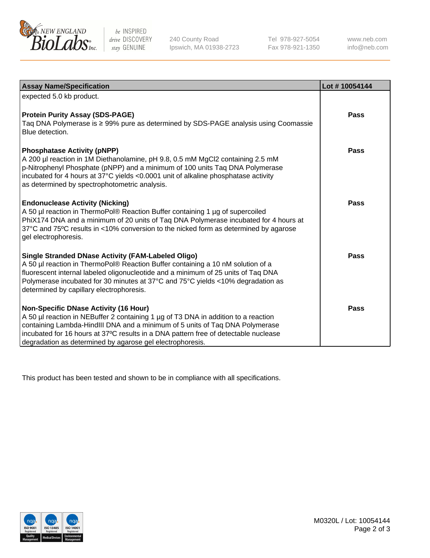

 $be$  INSPIRED drive DISCOVERY stay GENUINE

240 County Road Ipswich, MA 01938-2723 Tel 978-927-5054 Fax 978-921-1350 www.neb.com info@neb.com

| <b>Assay Name/Specification</b>                                                                                                                                                                                                                                                                                                                                  | Lot #10054144 |
|------------------------------------------------------------------------------------------------------------------------------------------------------------------------------------------------------------------------------------------------------------------------------------------------------------------------------------------------------------------|---------------|
| expected 5.0 kb product.                                                                                                                                                                                                                                                                                                                                         |               |
| <b>Protein Purity Assay (SDS-PAGE)</b><br>Taq DNA Polymerase is ≥ 99% pure as determined by SDS-PAGE analysis using Coomassie<br>Blue detection.                                                                                                                                                                                                                 | <b>Pass</b>   |
| <b>Phosphatase Activity (pNPP)</b><br>A 200 µl reaction in 1M Diethanolamine, pH 9.8, 0.5 mM MgCl2 containing 2.5 mM<br>p-Nitrophenyl Phosphate (pNPP) and a minimum of 100 units Taq DNA Polymerase<br>incubated for 4 hours at 37°C yields <0.0001 unit of alkaline phosphatase activity<br>as determined by spectrophotometric analysis.                      | Pass          |
| <b>Endonuclease Activity (Nicking)</b><br>A 50 µl reaction in ThermoPol® Reaction Buffer containing 1 µg of supercoiled<br>PhiX174 DNA and a minimum of 20 units of Taq DNA Polymerase incubated for 4 hours at<br>37°C and 75°C results in <10% conversion to the nicked form as determined by agarose<br>gel electrophoresis.                                  | Pass          |
| <b>Single Stranded DNase Activity (FAM-Labeled Oligo)</b><br>A 50 µl reaction in ThermoPol® Reaction Buffer containing a 10 nM solution of a<br>fluorescent internal labeled oligonucleotide and a minimum of 25 units of Taq DNA<br>Polymerase incubated for 30 minutes at 37°C and 75°C yields <10% degradation as<br>determined by capillary electrophoresis. | Pass          |
| Non-Specific DNase Activity (16 Hour)<br>A 50 µl reaction in NEBuffer 2 containing 1 µg of T3 DNA in addition to a reaction<br>containing Lambda-HindIII DNA and a minimum of 5 units of Taq DNA Polymerase<br>incubated for 16 hours at 37°C results in a DNA pattern free of detectable nuclease<br>degradation as determined by agarose gel electrophoresis.  | Pass          |

This product has been tested and shown to be in compliance with all specifications.